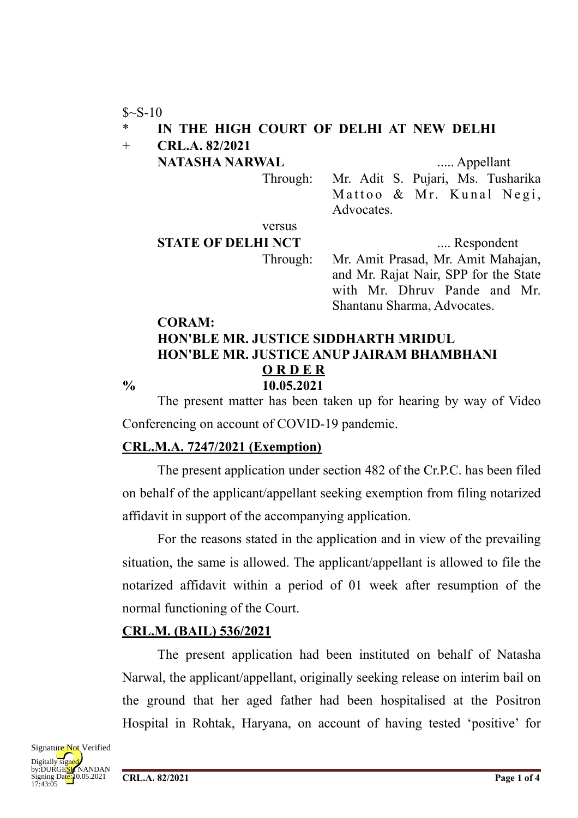$S-S-10$ 

### IN THE HIGH COURT OF DELHI AT NEW DELHI

+ **CRL.A. 82/2021**

**NATASHA NARWAL** ..... Appellant

Through: Mr. Adit S. Pujari, Ms. Tusharika Mattoo  $\&$  Mr. Kunal Negi, **Advocates** 

versus

**STATE OF DELHI NCT** ..... Respondent

Through: Mr. Amit Prasad, Mr. Amit Mahajan, and Mr. Rajat Nair, SPP for the State with Mr. Dhruv Pande and Mr. Shantanu Sharma, Advocates.

### **CORAM: HON'BLE MR. JUSTICE SIDDHARTH MRIDUL HON'BLE MR. JUSTICE ANUP JAIRAM BHAMBHANI O R D E R % 10.05.2021**

The present matter has been taken up for hearing by way of Video Conferencing on account of COVID-19 pandemic.

## **CRL.M.A. 7247/2021 (Exemption)**

The present application under section 482 of the Cr.P.C. has been filed on behalf of the applicant/appellant seeking exemption from filing notarized affidavit in support of the accompanying application.

For the reasons stated in the application and in view of the prevailing situation, the same is allowed. The applicant/appellant is allowed to file the notarized affidavit within a period of 01 week after resumption of the normal functioning of the Court.

# **CRL.M. (BAIL) 536/2021**

The present application had been instituted on behalf of Natasha Narwal, the applicant/appellant, originally seeking release on interim bail on the ground that her aged father had been hospitalised at the Positron Hospital in Rohtak, Haryana, on account of having tested 'positive' for

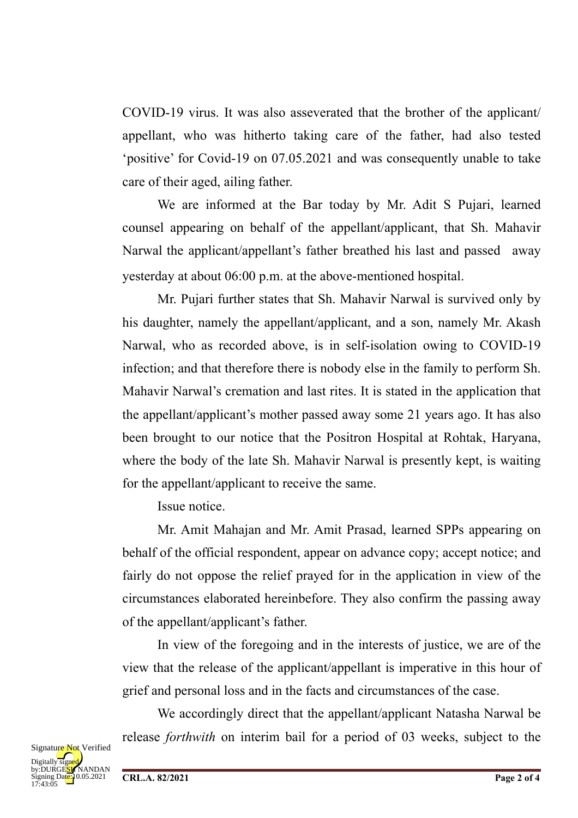COVID-19 virus. It was also asseverated that the brother of the applicant/ appellant, who was hitherto taking care of the father, had also tested 'positive' for Covid-19 on 07.05.2021 and was consequently unable to take care of their aged, ailing father.

We are informed at the Bar today by Mr. Adit S Pujari, learned counsel appearing on behalf of the appellant/applicant, that Sh. Mahavir Narwal the applicant/appellant's father breathed his last and passed away yesterday at about 06:00 p.m. at the above-mentioned hospital.

Mr. Pujari further states that Sh. Mahavir Narwal is survived only by his daughter, namely the appellant/applicant, and a son, namely Mr. Akash Narwal, who as recorded above, is in self-isolation owing to COVID-19 infection; and that therefore there is nobody else in the family to perform Sh. Mahavir Narwal's cremation and last rites. It is stated in the application that the appellant/applicant's mother passed away some 21 years ago. It has also been brought to our notice that the Positron Hospital at Rohtak, Haryana, where the body of the late Sh. Mahavir Narwal is presently kept, is waiting for the appellant/applicant to receive the same.

Issue notice.

Mr. Amit Mahajan and Mr. Amit Prasad, learned SPPs appearing on behalf of the official respondent, appear on advance copy; accept notice; and fairly do not oppose the relief prayed for in the application in view of the circumstances elaborated hereinbefore. They also confirm the passing away of the appellant/applicant's father.

In view of the foregoing and in the interests of justice, we are of the view that the release of the applicant/appellant is imperative in this hour of grief and personal loss and in the facts and circumstances of the case.

We accordingly direct that the appellant/applicant Natasha Narwal be release *forthwith* on interim bail for a period of 03 weeks, subject to the

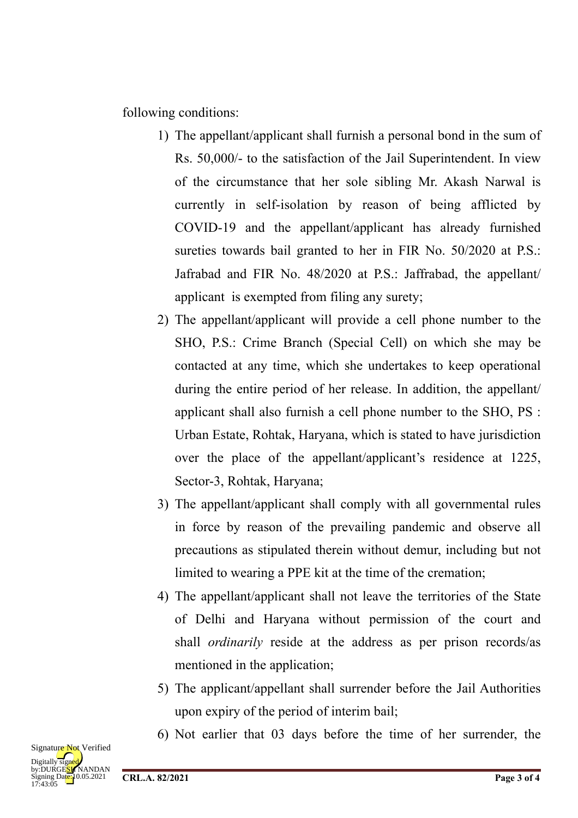following conditions:

- 1) The appellant/applicant shall furnish a personal bond in the sum of Rs. 50,000/- to the satisfaction of the Jail Superintendent. In view of the circumstance that her sole sibling Mr. Akash Narwal is currently in self-isolation by reason of being afflicted by COVID-19 and the appellant/applicant has already furnished sureties towards bail granted to her in FIR No. 50/2020 at P.S.: Jafrabad and FIR No. 48/2020 at P.S.: Jaffrabad, the appellant/ applicant is exempted from filing any surety;
- 2) The appellant/applicant will provide a cell phone number to the SHO, P.S.: Crime Branch (Special Cell) on which she may be contacted at any time, which she undertakes to keep operational during the entire period of her release. In addition, the appellant/ applicant shall also furnish a cell phone number to the SHO, PS : Urban Estate, Rohtak, Haryana, which is stated to have jurisdiction over the place of the appellant/applicant's residence at 1225, Sector-3, Rohtak, Haryana;
- 3) The appellant/applicant shall comply with all governmental rules in force by reason of the prevailing pandemic and observe all precautions as stipulated therein without demur, including but not limited to wearing a PPE kit at the time of the cremation;
- 4) The appellant/applicant shall not leave the territories of the State of Delhi and Haryana without permission of the court and shall *ordinarily* reside at the address as per prison records/as mentioned in the application;
- 5) The applicant/appellant shall surrender before the Jail Authorities upon expiry of the period of interim bail;
- 6) Not earlier that 03 days before the time of her surrender, the